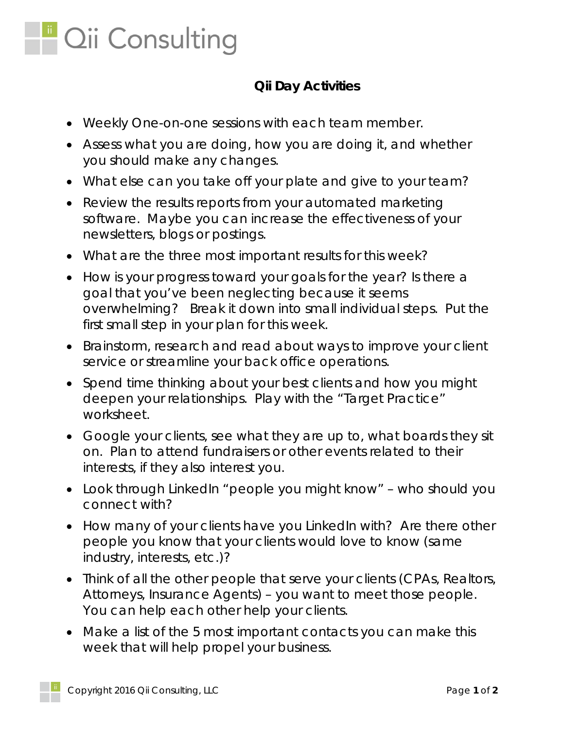

## **Qii Day Activities**

- Weekly One-on-one sessions with each team member.
- Assess what you are doing, how you are doing it, and whether you should make any changes.
- What else can you take off your plate and give to your team?
- Review the results reports from your automated marketing software. Maybe you can increase the effectiveness of your newsletters, blogs or postings.
- What are the three most important results for this week?
- How is your progress toward your goals for the year? Is there a goal that you've been neglecting because it seems overwhelming? Break it down into small individual steps. Put the first small step in your plan for this week.
- Brainstorm, research and read about ways to improve your client service or streamline your back office operations.
- Spend time thinking about your best clients and how you might deepen your relationships. Play with the "Target Practice" worksheet.
- Google your clients, see what they are up to, what boards they sit on. Plan to attend fundraisers or other events related to their interests, if they also interest you.
- Look through LinkedIn "people you might know" who should you connect with?
- How many of your clients have you LinkedIn with? Are there other people you know that your clients would love to know (same industry, interests, etc.)?
- Think of all the other people that serve your clients (CPAs, Realtors, Attorneys, Insurance Agents) – you want to meet those people. You can help each other help your clients.
- Make a list of the 5 most important contacts you can make this week that will help propel your business.